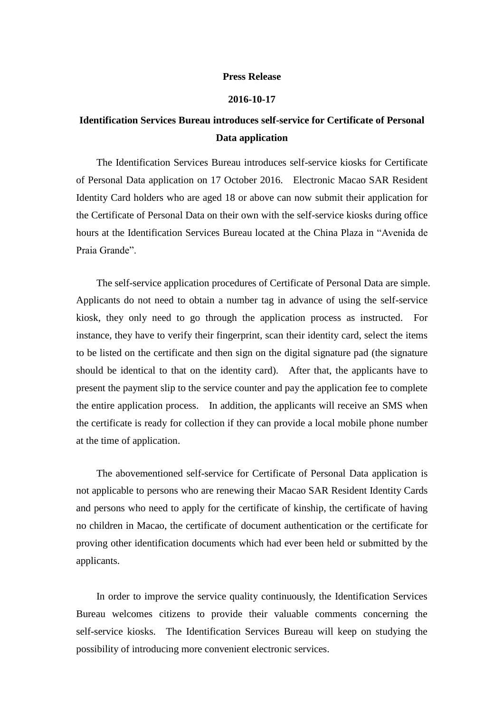## **Press Release**

## **2016-10-17**

## **Identification Services Bureau introduces self-service for Certificate of Personal Data application**

The Identification Services Bureau introduces self-service kiosks for Certificate of Personal Data application on 17 October 2016. Electronic Macao SAR Resident Identity Card holders who are aged 18 or above can now submit their application for the Certificate of Personal Data on their own with the self-service kiosks during office hours at the Identification Services Bureau located at the China Plaza in "Avenida de Praia Grande".

The self-service application procedures of Certificate of Personal Data are simple. Applicants do not need to obtain a number tag in advance of using the self-service kiosk, they only need to go through the application process as instructed. For instance, they have to verify their fingerprint, scan their identity card, select the items to be listed on the certificate and then sign on the digital signature pad (the signature should be identical to that on the identity card). After that, the applicants have to present the payment slip to the service counter and pay the application fee to complete the entire application process. In addition, the applicants will receive an SMS when the certificate is ready for collection if they can provide a local mobile phone number at the time of application.

The abovementioned self-service for Certificate of Personal Data application is not applicable to persons who are renewing their Macao SAR Resident Identity Cards and persons who need to apply for the certificate of kinship, the certificate of having no children in Macao, the certificate of document authentication or the certificate for proving other identification documents which had ever been held or submitted by the applicants.

In order to improve the service quality continuously, the Identification Services Bureau welcomes citizens to provide their valuable comments concerning the self-service kiosks. The Identification Services Bureau will keep on studying the possibility of introducing more convenient electronic services.